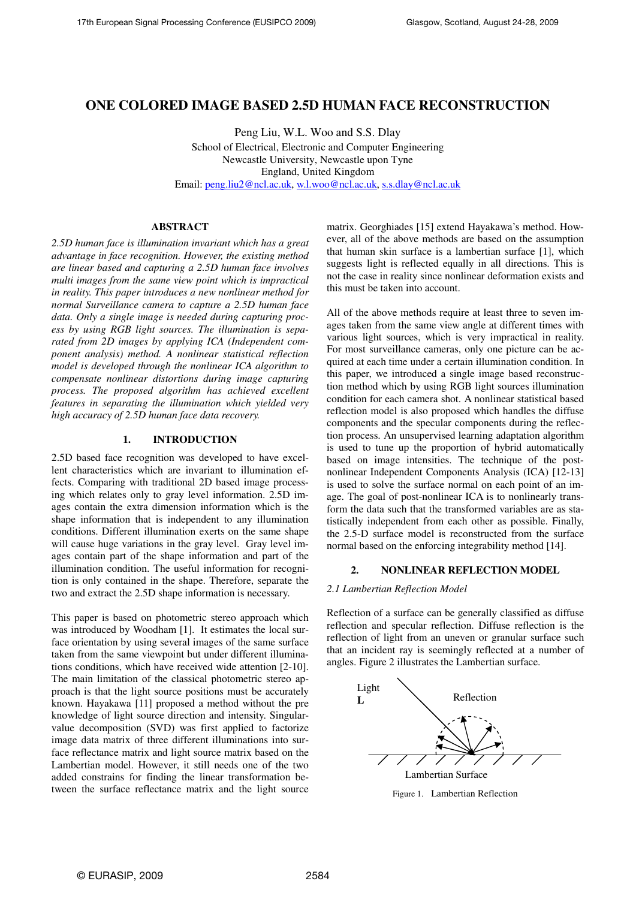# **ONE COLORED IMAGE BASED 2.5D HUMAN FACE RECONSTRUCTION**

Peng Liu, W.L. Woo and S.S. Dlay School of Electrical, Electronic and Computer Engineering Newcastle University, Newcastle upon Tyne England, United Kingdom Email: peng.liu2@ncl.ac.uk, w.l.woo@ncl.ac.uk, s.s.dlay@ncl.ac.uk

# **ABSTRACT**

*2.5D human face is illumination invariant which has a great advantage in face recognition. However, the existing method are linear based and capturing a 2.5D human face involves multi images from the same view point which is impractical in reality. This paper introduces a new nonlinear method for normal Surveillance camera to capture a 2.5D human face data. Only a single image is needed during capturing process by using RGB light sources. The illumination is separated from 2D images by applying ICA (Independent component analysis) method. A nonlinear statistical reflection model is developed through the nonlinear ICA algorithm to compensate nonlinear distortions during image capturing process. The proposed algorithm has achieved excellent features in separating the illumination which yielded very high accuracy of 2.5D human face data recovery.* 

### **1. INTRODUCTION**

2.5D based face recognition was developed to have excellent characteristics which are invariant to illumination effects. Comparing with traditional 2D based image processing which relates only to gray level information. 2.5D images contain the extra dimension information which is the shape information that is independent to any illumination conditions. Different illumination exerts on the same shape will cause huge variations in the gray level. Gray level images contain part of the shape information and part of the illumination condition. The useful information for recognition is only contained in the shape. Therefore, separate the two and extract the 2.5D shape information is necessary.

This paper is based on photometric stereo approach which was introduced by Woodham [1]. It estimates the local surface orientation by using several images of the same surface taken from the same viewpoint but under different illuminations conditions, which have received wide attention [2-10]. The main limitation of the classical photometric stereo approach is that the light source positions must be accurately known. Hayakawa [11] proposed a method without the pre knowledge of light source direction and intensity. Singularvalue decomposition (SVD) was first applied to factorize image data matrix of three different illuminations into surface reflectance matrix and light source matrix based on the Lambertian model. However, it still needs one of the two added constrains for finding the linear transformation between the surface reflectance matrix and the light source

matrix. Georghiades [15] extend Hayakawa's method. However, all of the above methods are based on the assumption that human skin surface is a lambertian surface [1], which suggests light is reflected equally in all directions. This is not the case in reality since nonlinear deformation exists and this must be taken into account.

All of the above methods require at least three to seven images taken from the same view angle at different times with various light sources, which is very impractical in reality. For most surveillance cameras, only one picture can be acquired at each time under a certain illumination condition. In this paper, we introduced a single image based reconstruction method which by using RGB light sources illumination condition for each camera shot. A nonlinear statistical based reflection model is also proposed which handles the diffuse components and the specular components during the reflection process. An unsupervised learning adaptation algorithm is used to tune up the proportion of hybrid automatically based on image intensities. The technique of the postnonlinear Independent Components Analysis (ICA) [12-13] is used to solve the surface normal on each point of an image. The goal of post-nonlinear ICA is to nonlinearly transform the data such that the transformed variables are as statistically independent from each other as possible. Finally, the 2.5-D surface model is reconstructed from the surface normal based on the enforcing integrability method [14].

# **2. NONLINEAR REFLECTION MODEL**

## *2.1 Lambertian Reflection Model*

Reflection of a surface can be generally classified as diffuse reflection and specular reflection. Diffuse reflection is the reflection of light from an uneven or granular surface such that an incident ray is seemingly reflected at a number of angles. Figure 2 illustrates the Lambertian surface.



Figure 1. Lambertian Reflection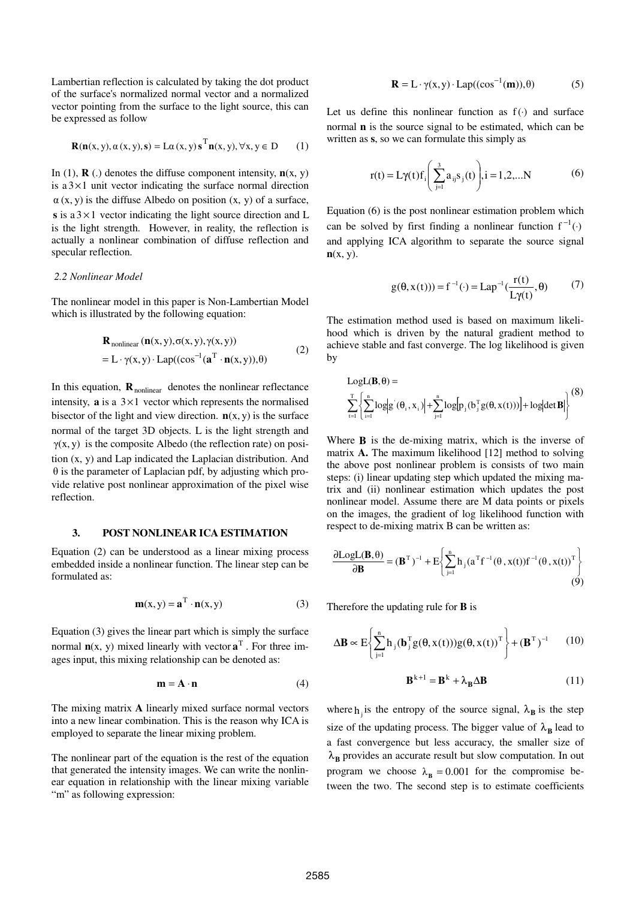Lambertian reflection is calculated by taking the dot product of the surface's normalized normal vector and a normalized vector pointing from the surface to the light source, this can be expressed as follow

$$
\mathbf{R}(\mathbf{n}(x, y), \alpha(x, y), \mathbf{s}) = \mathbf{L}\alpha(x, y)\mathbf{s}^{\mathrm{T}}\mathbf{n}(x, y), \forall x, y \in \mathbf{D}
$$
 (1)

In (1), **R** (.) denotes the diffuse component intensity,  $\mathbf{n}(x, y)$ is  $a \, 3 \times 1$  unit vector indicating the surface normal direction  $\alpha$  (x, y) is the diffuse Albedo on position (x, y) of a surface, **s** is a  $3 \times 1$  vector indicating the light source direction and L is the light strength. However, in reality, the reflection is actually a nonlinear combination of diffuse reflection and specular reflection.

## *2.2 Nonlinear Model*

The nonlinear model in this paper is Non-Lambertian Model which is illustrated by the following equation:

$$
\mathbf{R}_{nonlinear}(\mathbf{n}(x, y), \sigma(x, y), \gamma(x, y))
$$
  
= L ·  $\gamma(x, y)$  · Lap((cos<sup>-1</sup>( $\mathbf{a}^T \cdot \mathbf{n}(x, y)$ ),  $\theta$ ) (2)

In this equation,  $\mathbf{R}_{nonlinear}$  denotes the nonlinear reflectance intensity,  $\bf{a}$  is a  $3 \times 1$  vector which represents the normalised bisector of the light and view direction.  $n(x, y)$  is the surface normal of the target 3D objects. L is the light strength and  $\gamma(x, y)$  is the composite Albedo (the reflection rate) on position (x, y) and Lap indicated the Laplacian distribution. And θ is the parameter of Laplacian pdf, by adjusting which provide relative post nonlinear approximation of the pixel wise reflection.

## **3. POST NONLINEAR ICA ESTIMATION**

Equation (2) can be understood as a linear mixing process embedded inside a nonlinear function. The linear step can be formulated as:

$$
\mathbf{m}(x, y) = \mathbf{a}^{T} \cdot \mathbf{n}(x, y)
$$
 (3)

Equation (3) gives the linear part which is simply the surface normal  $\mathbf{n}(x, y)$  mixed linearly with vector  $\mathbf{a}^T$ . For three images input, this mixing relationship can be denoted as:

$$
\mathbf{m} = \mathbf{A} \cdot \mathbf{n} \tag{4}
$$

The mixing matrix **A** linearly mixed surface normal vectors into a new linear combination. This is the reason why ICA is employed to separate the linear mixing problem.

The nonlinear part of the equation is the rest of the equation that generated the intensity images. We can write the nonlinear equation in relationship with the linear mixing variable "m" as following expression:

$$
\mathbf{R} = \mathbf{L} \cdot \gamma(\mathbf{x}, \mathbf{y}) \cdot \mathbf{Lap}((\cos^{-1}(\mathbf{m})), \theta) \tag{5}
$$

Let us define this nonlinear function as  $f(\cdot)$  and surface normal **n** is the source signal to be estimated, which can be written as **s**, so we can formulate this simply as

$$
r(t) = L\gamma(t)f_i\left(\sum_{j=1}^{3} a_{ij} s_j(t)\right), i = 1, 2, ... N
$$
 (6)

Equation (6) is the post nonlinear estimation problem which can be solved by first finding a nonlinear function  $f^{-1}(\cdot)$ and applying ICA algorithm to separate the source signal **n**(x, y).

$$
g(\theta, x(t))) = f^{-1}(\cdot) = \text{Lap}^{-1}(\frac{r(t)}{\text{L}\gamma(t)}, \theta) \tag{7}
$$

The estimation method used is based on maximum likelihood which is driven by the natural gradient method to achieve stable and fast converge. The log likelihood is given by

$$
LogL(\mathbf{B}, \theta) = \sum_{t=1}^{T} \left\{ \sum_{i=1}^{n} log|g^{'}(\theta_i, x_i)| + \sum_{j=1}^{n} log[p_j(b_j^{T}g(\theta, x(t)))] + log|det \mathbf{B}| \right\}^{(8)}
$$

Where **B** is the de-mixing matrix, which is the inverse of matrix **A.** The maximum likelihood [12] method to solving the above post nonlinear problem is consists of two main steps: (i) linear updating step which updated the mixing matrix and (ii) nonlinear estimation which updates the post nonlinear model. Assume there are M data points or pixels on the images, the gradient of log likelihood function with respect to de-mixing matrix B can be written as:

$$
\frac{\partial \text{LogL}(\mathbf{B}, \theta)}{\partial \mathbf{B}} = (\mathbf{B}^{\mathrm{T}})^{-1} + \text{E} \left\{ \sum_{j=1}^{n} h_j (a^{\mathrm{T}} f^{-1}(\theta, x(t)) f^{-1}(\theta, x(t))^{T} \right\}
$$
(9)

Therefore the updating rule for **B** is

$$
\Delta \mathbf{B} \propto E \Biggl\{ \sum_{j=1}^{n} h_j(\mathbf{b}_j^{\mathrm{T}} g(\theta, x(t))) g(\theta, x(t))^{\mathrm{T}} \Biggr\} + (\mathbf{B}^{\mathrm{T}})^{-1} \qquad (10)
$$

$$
\mathbf{B}^{k+1} = \mathbf{B}^k + \lambda_\mathbf{B} \Delta \mathbf{B} \tag{11}
$$

where  $h_j$  is the entropy of the source signal,  $\lambda_B$  is the step size of the updating process. The bigger value of  $\lambda_B$  lead to a fast convergence but less accuracy, the smaller size of  $\lambda_{\rm B}$  provides an accurate result but slow computation. In out program we choose  $\lambda_B = 0.001$  for the compromise between the two. The second step is to estimate coefficients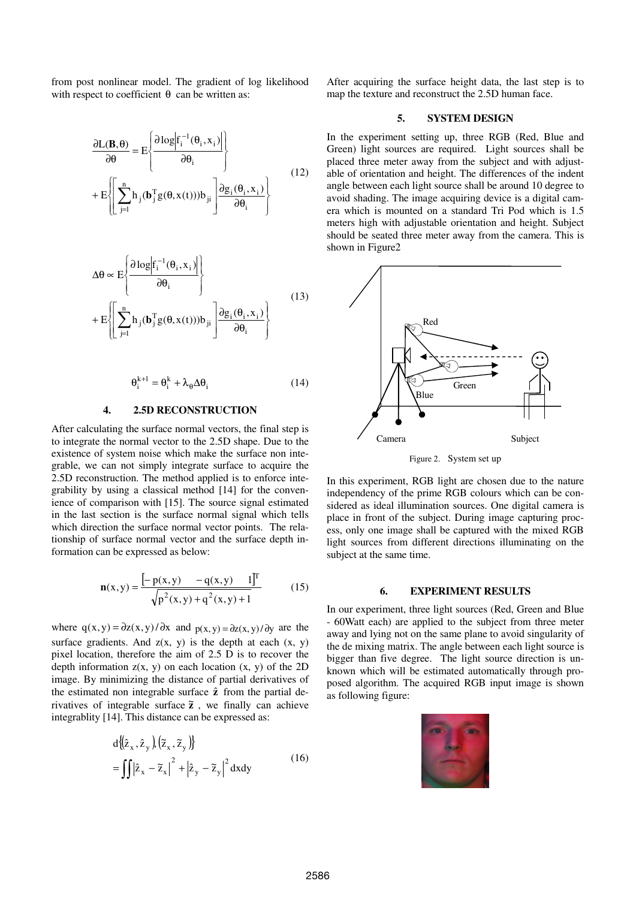from post nonlinear model. The gradient of log likelihood with respect to coefficient  $\theta$  can be written as:

$$
\frac{\partial \mathbf{L}(\mathbf{B}, \boldsymbol{\theta})}{\partial \boldsymbol{\theta}} = \mathbf{E} \left\{ \frac{\partial \log | \mathbf{f}_{i}^{-1}(\boldsymbol{\theta}_{i}, \mathbf{x}_{i}) |}{\partial \boldsymbol{\theta}_{i}} \right\}
$$
\n
$$
+ \mathbf{E} \left\{ \left[ \sum_{j=1}^{n} h_{j}(\mathbf{b}_{j}^{T}g(\boldsymbol{\theta}, \mathbf{x}(t))) b_{ji} \right] \frac{\partial g_{i}(\boldsymbol{\theta}_{i}, \mathbf{x}_{i})}{\partial \boldsymbol{\theta}_{i}} \right\}
$$
\n(12)

$$
\Delta \theta \propto E \left\{ \frac{\partial \log \left| f_i^{-1}(\theta_i, x_i) \right|}{\partial \theta_i} \right\}
$$
  
+ 
$$
E \left\{ \left[ \sum_{j=1}^n h_j(\mathbf{b}_j^T g(\theta, x(t))) b_{ji} \right] \frac{\partial g_i(\theta_i, x_i)}{\partial \theta_i} \right\}
$$
(13)

$$
\Theta_i^{k+1} = \Theta_i^k + \lambda_\theta \Delta \Theta_i \tag{14}
$$

#### **4. 2.5D RECONSTRUCTION**

After calculating the surface normal vectors, the final step is to integrate the normal vector to the 2.5D shape. Due to the existence of system noise which make the surface non integrable, we can not simply integrate surface to acquire the 2.5D reconstruction. The method applied is to enforce integrability by using a classical method [14] for the convenience of comparison with [15]. The source signal estimated in the last section is the surface normal signal which tells which direction the surface normal vector points. The relationship of surface normal vector and the surface depth information can be expressed as below:

$$
\mathbf{n}(x,y) = \frac{\left[-\mathbf{p}(x,y) - \mathbf{q}(x,y) \quad 1\right]^{\mathrm{T}}}{\sqrt{\mathbf{p}^2(x,y) + \mathbf{q}^2(x,y) + 1}}\tag{15}
$$

where  $q(x, y) = \frac{\partial z(x, y)}{\partial x}$  and  $p(x, y) = \frac{\partial z(x, y)}{\partial y}$  are the surface gradients. And  $z(x, y)$  is the depth at each  $(x, y)$ pixel location, therefore the aim of 2.5 D is to recover the depth information  $z(x, y)$  on each location  $(x, y)$  of the 2D image. By minimizing the distance of partial derivatives of the estimated non integrable surface **z**ˆ from the partial derivatives of integrable surface  $\tilde{z}$ , we finally can achieve integrablity [14]. This distance can be expressed as:

$$
d\left\{\left(\hat{z}_x, \hat{z}_y\right), \left(\tilde{z}_x, \tilde{z}_y\right)\right\}
$$
  
= 
$$
\iint \left|\hat{z}_x - \tilde{z}_x\right|^2 + \left|\hat{z}_y - \tilde{z}_y\right|^2 dxdy
$$
 (16)

After acquiring the surface height data, the last step is to map the texture and reconstruct the 2.5D human face.

# **5. SYSTEM DESIGN**

In the experiment setting up, three RGB (Red, Blue and Green) light sources are required. Light sources shall be placed three meter away from the subject and with adjustable of orientation and height. The differences of the indent angle between each light source shall be around 10 degree to avoid shading. The image acquiring device is a digital camera which is mounted on a standard Tri Pod which is 1.5 meters high with adjustable orientation and height. Subject should be seated three meter away from the camera. This is shown in Figure2



Figure 2. System set up

In this experiment, RGB light are chosen due to the nature independency of the prime RGB colours which can be considered as ideal illumination sources. One digital camera is place in front of the subject. During image capturing process, only one image shall be captured with the mixed RGB light sources from different directions illuminating on the subject at the same time.

#### **6. EXPERIMENT RESULTS**

In our experiment, three light sources (Red, Green and Blue - 60Watt each) are applied to the subject from three meter away and lying not on the same plane to avoid singularity of the de mixing matrix. The angle between each light source is bigger than five degree. The light source direction is unknown which will be estimated automatically through proposed algorithm. The acquired RGB input image is shown as following figure:

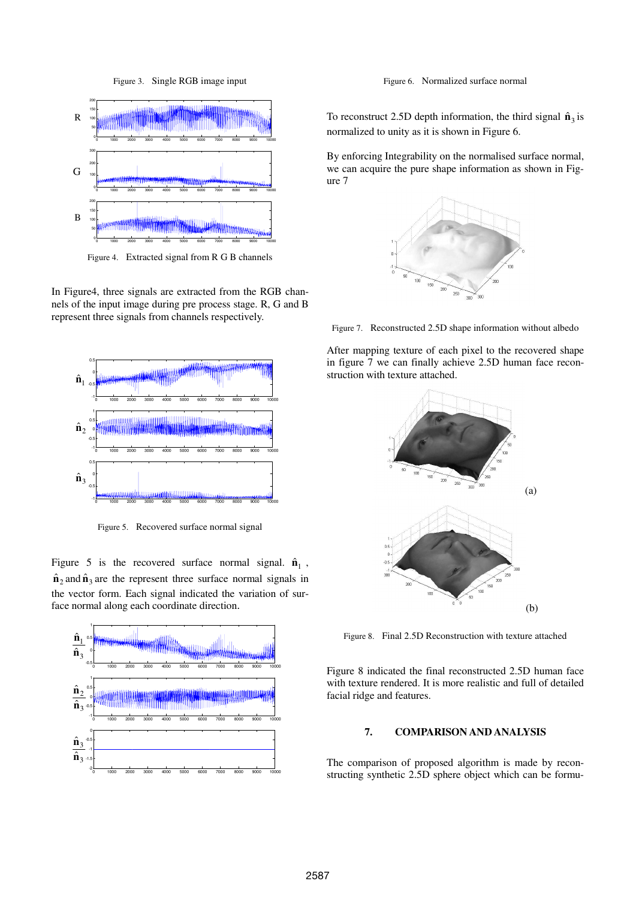Figure 3. Single RGB image input



Figure 4. Extracted signal from R G B channels

In Figure4, three signals are extracted from the RGB channels of the input image during pre process stage. R, G and B represent three signals from channels respectively.



Figure 5. Recovered surface normal signal

Figure 5 is the recovered surface normal signal.  $\hat{\mathbf{n}}_1$ ,  $\hat{\mathbf{n}}_2$  and  $\hat{\mathbf{n}}_3$  are the represent three surface normal signals in the vector form. Each signal indicated the variation of surface normal along each coordinate direction.



Figure 6. Normalized surface normal

To reconstruct 2.5D depth information, the third signal  $\hat{\mathbf{n}}_3$  is normalized to unity as it is shown in Figure 6.

By enforcing Integrability on the normalised surface normal, we can acquire the pure shape information as shown in Figure 7



Figure 7. Reconstructed 2.5D shape information without albedo

After mapping texture of each pixel to the recovered shape in figure 7 we can finally achieve 2.5D human face reconstruction with texture attached.



Figure 8. Final 2.5D Reconstruction with texture attached

Figure 8 indicated the final reconstructed 2.5D human face with texture rendered. It is more realistic and full of detailed facial ridge and features.

# **7. COMPARISON AND ANALYSIS**

The comparison of proposed algorithm is made by reconstructing synthetic 2.5D sphere object which can be formu